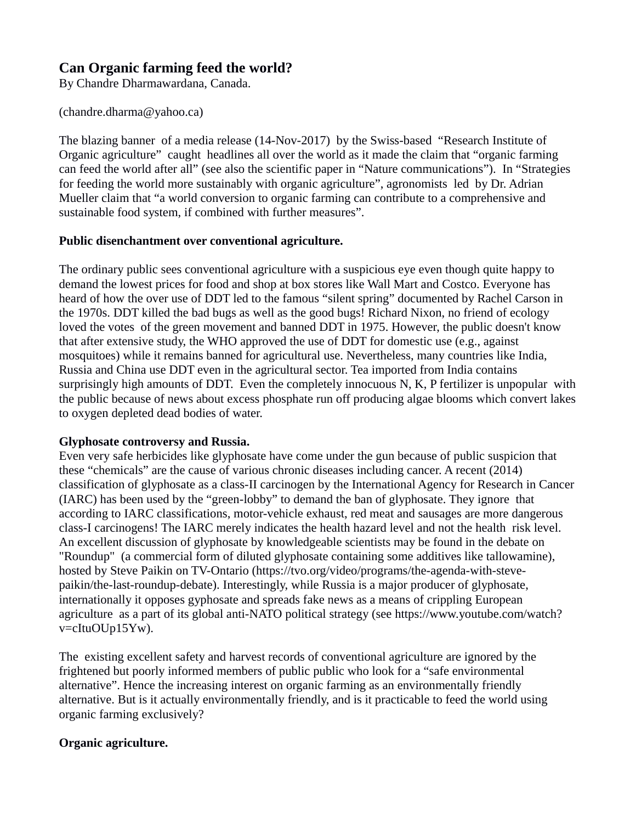# **Can Organic farming feed the world?**

By Chandre Dharmawardana, Canada.

(chandre.dharma@yahoo.ca)

The blazing banner of a media release (14-Nov-2017) by the Swiss-based "Research Institute of Organic agriculture" caught headlines all over the world as it made the claim that "organic farming can feed the world after all" (see also the scientific paper in "Nature communications"). In "Strategies for feeding the world more sustainably with organic agriculture", agronomists led by Dr. Adrian Mueller claim that "a world conversion to organic farming can contribute to a comprehensive and sustainable food system, if combined with further measures".

#### **Public disenchantment over conventional agriculture.**

The ordinary public sees conventional agriculture with a suspicious eye even though quite happy to demand the lowest prices for food and shop at box stores like Wall Mart and Costco. Everyone has heard of how the over use of DDT led to the famous "silent spring" documented by Rachel Carson in the 1970s. DDT killed the bad bugs as well as the good bugs! Richard Nixon, no friend of ecology loved the votes of the green movement and banned DDT in 1975. However, the public doesn't know that after extensive study, the WHO approved the use of DDT for domestic use (e.g., against mosquitoes) while it remains banned for agricultural use. Nevertheless, many countries like India, Russia and China use DDT even in the agricultural sector. Tea imported from India contains surprisingly high amounts of DDT. Even the completely innocuous N, K, P fertilizer is unpopular with the public because of news about excess phosphate run off producing algae blooms which convert lakes to oxygen depleted dead bodies of water.

#### **Glyphosate controversy and Russia.**

Even very safe herbicides like glyphosate have come under the gun because of public suspicion that these "chemicals" are the cause of various chronic diseases including cancer. A recent (2014) classification of glyphosate as a class-II carcinogen by the International Agency for Research in Cancer (IARC) has been used by the "green-lobby" to demand the ban of glyphosate. They ignore that according to IARC classifications, motor-vehicle exhaust, red meat and sausages are more dangerous class-I carcinogens! The IARC merely indicates the health hazard level and not the health risk level. An excellent discussion of glyphosate by knowledgeable scientists may be found in the debate on "Roundup" (a commercial form of diluted glyphosate containing some additives like tallowamine), hosted by Steve Paikin on TV-Ontario (https://tvo.org/video/programs/the-agenda-with-stevepaikin/the-last-roundup-debate). Interestingly, while Russia is a major producer of glyphosate, internationally it opposes gyphosate and spreads fake news as a means of crippling European agriculture as a part of its global anti-NATO political strategy (see https://www.youtube.com/watch? v=cItuOUp15Yw).

The existing excellent safety and harvest records of conventional agriculture are ignored by the frightened but poorly informed members of public public who look for a "safe environmental alternative". Hence the increasing interest on organic farming as an environmentally friendly alternative. But is it actually environmentally friendly, and is it practicable to feed the world using organic farming exclusively?

## **Organic agriculture.**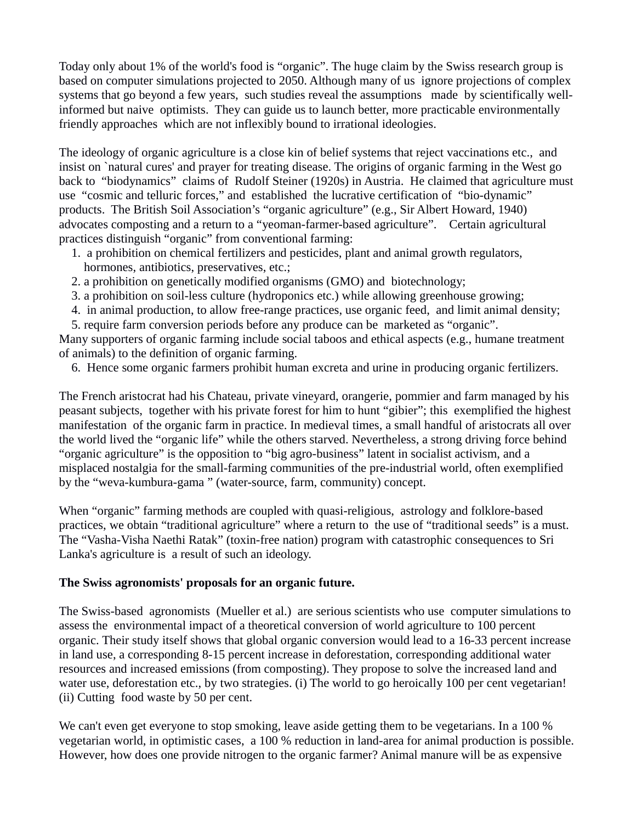Today only about 1% of the world's food is "organic". The huge claim by the Swiss research group is based on computer simulations projected to 2050. Although many of us ignore projections of complex systems that go beyond a few years, such studies reveal the assumptions made by scientifically wellinformed but naive optimists. They can guide us to launch better, more practicable environmentally friendly approaches which are not inflexibly bound to irrational ideologies.

The ideology of organic agriculture is a close kin of belief systems that reject vaccinations etc., and insist on `natural cures' and prayer for treating disease. The origins of organic farming in the West go back to "biodynamics" claims of Rudolf Steiner (1920s) in Austria. He claimed that agriculture must use "cosmic and telluric forces," and established the lucrative certification of "bio-dynamic" products. The British Soil Association's "organic agriculture" (e.g., Sir Albert Howard, 1940) advocates composting and a return to a "yeoman-farmer-based agriculture". Certain agricultural practices distinguish "organic" from conventional farming:

- 1. a prohibition on chemical fertilizers and pesticides, plant and animal growth regulators, hormones, antibiotics, preservatives, etc.;
- 2. a prohibition on genetically modified organisms (GMO) and biotechnology;
- 3. a prohibition on soil-less culture (hydroponics etc.) while allowing greenhouse growing;
- 4. in animal production, to allow free-range practices, use organic feed, and limit animal density;
- 5. require farm conversion periods before any produce can be marketed as "organic".

Many supporters of organic farming include social taboos and ethical aspects (e.g., humane treatment of animals) to the definition of organic farming.

6. Hence some organic farmers prohibit human excreta and urine in producing organic fertilizers.

The French aristocrat had his Chateau, private vineyard, orangerie, pommier and farm managed by his peasant subjects, together with his private forest for him to hunt "gibier"; this exemplified the highest manifestation of the organic farm in practice. In medieval times, a small handful of aristocrats all over the world lived the "organic life" while the others starved. Nevertheless, a strong driving force behind "organic agriculture" is the opposition to "big agro-business" latent in socialist activism, and a misplaced nostalgia for the small-farming communities of the pre-industrial world, often exemplified by the "weva-kumbura-gama " (water-source, farm, community) concept.

When "organic" farming methods are coupled with quasi-religious, astrology and folklore-based practices, we obtain "traditional agriculture" where a return to the use of "traditional seeds" is a must. The "Vasha-Visha Naethi Ratak" (toxin-free nation) program with catastrophic consequences to Sri Lanka's agriculture is a result of such an ideology.

## **The Swiss agronomists' proposals for an organic future.**

The Swiss-based agronomists (Mueller et al.) are serious scientists who use computer simulations to assess the environmental impact of a theoretical conversion of world agriculture to 100 percent organic. Their study itself shows that global organic conversion would lead to a 16-33 percent increase in land use, a corresponding 8-15 percent increase in deforestation, corresponding additional water resources and increased emissions (from composting). They propose to solve the increased land and water use, deforestation etc., by two strategies. (i) The world to go heroically 100 per cent vegetarian! (ii) Cutting food waste by 50 per cent.

We can't even get everyone to stop smoking, leave aside getting them to be vegetarians. In a 100 % vegetarian world, in optimistic cases, a 100 % reduction in land-area for animal production is possible. However, how does one provide nitrogen to the organic farmer? Animal manure will be as expensive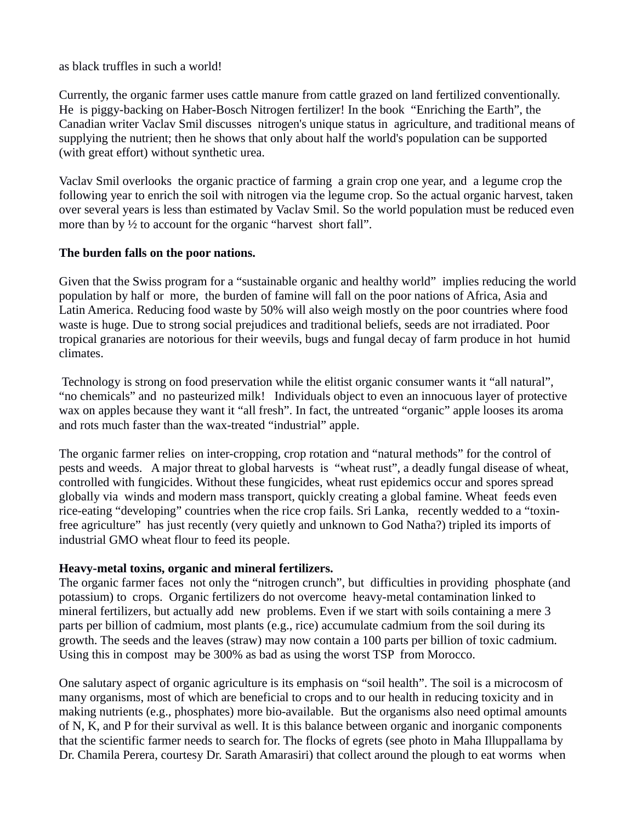as black truffles in such a world!

Currently, the organic farmer uses cattle manure from cattle grazed on land fertilized conventionally. He is piggy-backing on Haber-Bosch Nitrogen fertilizer! In the book "Enriching the Earth", the Canadian writer Vaclav Smil discusses nitrogen's unique status in agriculture, and traditional means of supplying the nutrient; then he shows that only about half the world's population can be supported (with great effort) without synthetic urea.

Vaclav Smil overlooks the organic practice of farming a grain crop one year, and a legume crop the following year to enrich the soil with nitrogen via the legume crop. So the actual organic harvest, taken over several years is less than estimated by Vaclav Smil. So the world population must be reduced even more than by <sup>1/2</sup> to account for the organic "harvest short fall".

## **The burden falls on the poor nations.**

Given that the Swiss program for a "sustainable organic and healthy world" implies reducing the world population by half or more, the burden of famine will fall on the poor nations of Africa, Asia and Latin America. Reducing food waste by 50% will also weigh mostly on the poor countries where food waste is huge. Due to strong social prejudices and traditional beliefs, seeds are not irradiated. Poor tropical granaries are notorious for their weevils, bugs and fungal decay of farm produce in hot humid climates.

 Technology is strong on food preservation while the elitist organic consumer wants it "all natural", "no chemicals" and no pasteurized milk! Individuals object to even an innocuous layer of protective wax on apples because they want it "all fresh". In fact, the untreated "organic" apple looses its aroma and rots much faster than the wax-treated "industrial" apple.

The organic farmer relies on inter-cropping, crop rotation and "natural methods" for the control of pests and weeds. A major threat to global harvests is "wheat rust", a deadly fungal disease of wheat, controlled with fungicides. Without these fungicides, wheat rust epidemics occur and spores spread globally via winds and modern mass transport, quickly creating a global famine. Wheat feeds even rice-eating "developing" countries when the rice crop fails. Sri Lanka, recently wedded to a "toxinfree agriculture" has just recently (very quietly and unknown to God Natha?) tripled its imports of industrial GMO wheat flour to feed its people.

## **Heavy-metal toxins, organic and mineral fertilizers.**

The organic farmer faces not only the "nitrogen crunch", but difficulties in providing phosphate (and potassium) to crops. Organic fertilizers do not overcome heavy-metal contamination linked to mineral fertilizers, but actually add new problems. Even if we start with soils containing a mere 3 parts per billion of cadmium, most plants (e.g., rice) accumulate cadmium from the soil during its growth. The seeds and the leaves (straw) may now contain a 100 parts per billion of toxic cadmium. Using this in compost may be 300% as bad as using the worst TSP from Morocco.

One salutary aspect of organic agriculture is its emphasis on "soil health". The soil is a microcosm of many organisms, most of which are beneficial to crops and to our health in reducing toxicity and in making nutrients (e.g., phosphates) more bio-available. But the organisms also need optimal amounts of N, K, and P for their survival as well. It is this balance between organic and inorganic components that the scientific farmer needs to search for. The flocks of egrets (see photo in Maha Illuppallama by Dr. Chamila Perera, courtesy Dr. Sarath Amarasiri) that collect around the plough to eat worms when